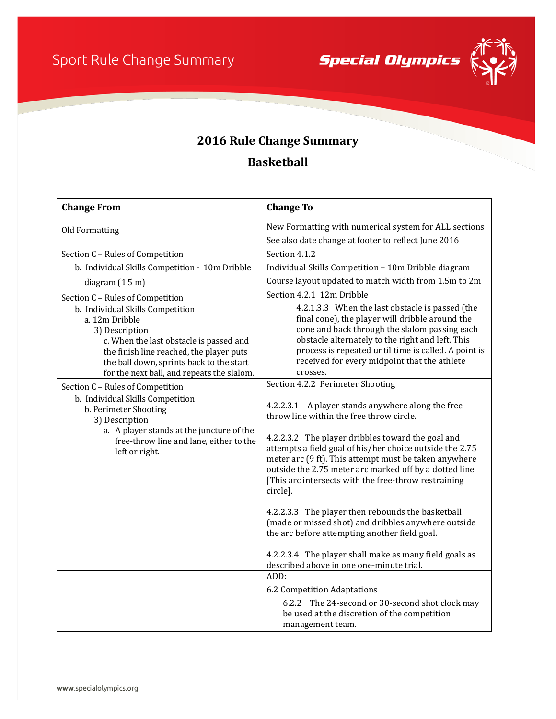**Special Olympics** 



## **2016 Rule Change Summary**

## **Basketball**

| <b>Change From</b>                                                                                                                                                                                                                                    | <b>Change To</b>                                                                                                                                                                                                                                                                                                            |
|-------------------------------------------------------------------------------------------------------------------------------------------------------------------------------------------------------------------------------------------------------|-----------------------------------------------------------------------------------------------------------------------------------------------------------------------------------------------------------------------------------------------------------------------------------------------------------------------------|
| Old Formatting                                                                                                                                                                                                                                        | New Formatting with numerical system for ALL sections                                                                                                                                                                                                                                                                       |
|                                                                                                                                                                                                                                                       | See also date change at footer to reflect June 2016                                                                                                                                                                                                                                                                         |
| Section C - Rules of Competition                                                                                                                                                                                                                      | Section 4.1.2                                                                                                                                                                                                                                                                                                               |
| b. Individual Skills Competition - 10m Dribble                                                                                                                                                                                                        | Individual Skills Competition - 10m Dribble diagram                                                                                                                                                                                                                                                                         |
| diagram $(1.5 \text{ m})$                                                                                                                                                                                                                             | Course layout updated to match width from 1.5m to 2m                                                                                                                                                                                                                                                                        |
| Section C - Rules of Competition                                                                                                                                                                                                                      | Section 4.2.1 12m Dribble                                                                                                                                                                                                                                                                                                   |
| b. Individual Skills Competition<br>a. 12m Dribble<br>3) Description<br>c. When the last obstacle is passed and<br>the finish line reached, the player puts<br>the ball down, sprints back to the start<br>for the next ball, and repeats the slalom. | 4.2.1.3.3 When the last obstacle is passed (the<br>final cone), the player will dribble around the<br>cone and back through the slalom passing each<br>obstacle alternately to the right and left. This<br>process is repeated until time is called. A point is<br>received for every midpoint that the athlete<br>crosses. |
| Section C - Rules of Competition                                                                                                                                                                                                                      | Section 4.2.2 Perimeter Shooting                                                                                                                                                                                                                                                                                            |
| b. Individual Skills Competition<br>b. Perimeter Shooting<br>3) Description<br>a. A player stands at the juncture of the<br>free-throw line and lane, either to the<br>left or right.                                                                 | 4.2.2.3.1 A player stands anywhere along the free-<br>throw line within the free throw circle.                                                                                                                                                                                                                              |
|                                                                                                                                                                                                                                                       | 4.2.2.3.2 The player dribbles toward the goal and<br>attempts a field goal of his/her choice outside the 2.75<br>meter arc (9 ft). This attempt must be taken anywhere<br>outside the 2.75 meter arc marked off by a dotted line.<br>[This arc intersects with the free-throw restraining<br>circle].                       |
|                                                                                                                                                                                                                                                       | 4.2.2.3.3 The player then rebounds the basketball<br>(made or missed shot) and dribbles anywhere outside<br>the arc before attempting another field goal.                                                                                                                                                                   |
|                                                                                                                                                                                                                                                       | 4.2.2.3.4 The player shall make as many field goals as<br>described above in one one-minute trial.                                                                                                                                                                                                                          |
|                                                                                                                                                                                                                                                       | ADD:                                                                                                                                                                                                                                                                                                                        |
|                                                                                                                                                                                                                                                       | 6.2 Competition Adaptations                                                                                                                                                                                                                                                                                                 |
|                                                                                                                                                                                                                                                       | 6.2.2 The 24-second or 30-second shot clock may<br>be used at the discretion of the competition<br>management team.                                                                                                                                                                                                         |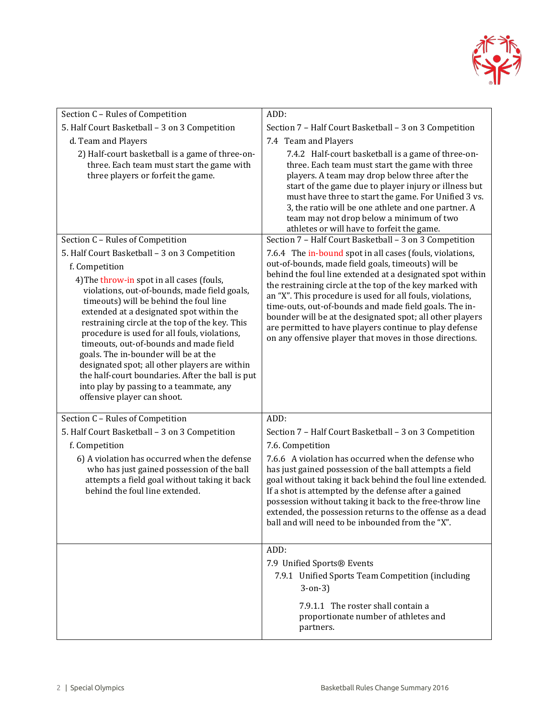

| ADD:                                                                                                                                                                                                                                                                                                                                                                                                                                                                                                                                             |
|--------------------------------------------------------------------------------------------------------------------------------------------------------------------------------------------------------------------------------------------------------------------------------------------------------------------------------------------------------------------------------------------------------------------------------------------------------------------------------------------------------------------------------------------------|
| Section 7 - Half Court Basketball - 3 on 3 Competition                                                                                                                                                                                                                                                                                                                                                                                                                                                                                           |
| 7.4 Team and Players                                                                                                                                                                                                                                                                                                                                                                                                                                                                                                                             |
| 7.4.2 Half-court basketball is a game of three-on-<br>three. Each team must start the game with three<br>players. A team may drop below three after the<br>start of the game due to player injury or illness but<br>must have three to start the game. For Unified 3 vs.<br>3, the ratio will be one athlete and one partner. A<br>team may not drop below a minimum of two<br>athletes or will have to forfeit the game.                                                                                                                        |
| Section 7 - Half Court Basketball - 3 on 3 Competition                                                                                                                                                                                                                                                                                                                                                                                                                                                                                           |
| 7.6.4 The in-bound spot in all cases (fouls, violations,<br>out-of-bounds, made field goals, timeouts) will be<br>behind the foul line extended at a designated spot within<br>the restraining circle at the top of the key marked with<br>an "X". This procedure is used for all fouls, violations,<br>time-outs, out-of-bounds and made field goals. The in-<br>bounder will be at the designated spot; all other players<br>are permitted to have players continue to play defense<br>on any offensive player that moves in those directions. |
| ADD:                                                                                                                                                                                                                                                                                                                                                                                                                                                                                                                                             |
| Section 7 - Half Court Basketball - 3 on 3 Competition                                                                                                                                                                                                                                                                                                                                                                                                                                                                                           |
| 7.6. Competition                                                                                                                                                                                                                                                                                                                                                                                                                                                                                                                                 |
| 7.6.6 A violation has occurred when the defense who<br>has just gained possession of the ball attempts a field<br>goal without taking it back behind the foul line extended.<br>If a shot is attempted by the defense after a gained<br>possession without taking it back to the free-throw line<br>extended, the possession returns to the offense as a dead<br>ball and will need to be inbounded from the "X".                                                                                                                                |
| ADD:                                                                                                                                                                                                                                                                                                                                                                                                                                                                                                                                             |
| 7.9 Unified Sports® Events<br>7.9.1 Unified Sports Team Competition (including<br>$3-0n-3$<br>7.9.1.1 The roster shall contain a<br>proportionate number of athletes and<br>partners.                                                                                                                                                                                                                                                                                                                                                            |
|                                                                                                                                                                                                                                                                                                                                                                                                                                                                                                                                                  |